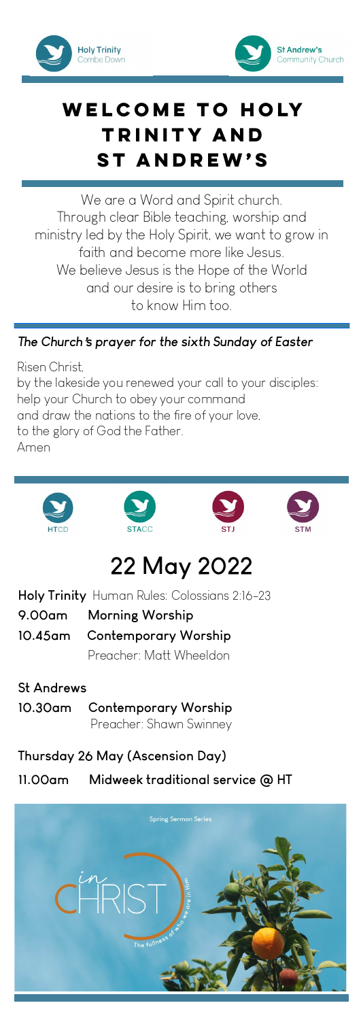



## **Welcome to Holy Trinity and St Andrew's**

We are a Word and Spirit church. Through clear Bible teaching, worship and ministry led by the Holy Spirit, we want to grow in faith and become more like Jesus. We believe Jesus is the Hope of the World and our desire is to bring others to know Him too.

#### *The Church*'*s prayer for the sixth Sunday of Easter*

Risen Christ, by the lakeside you renewed your call to your disciples: help your Church to obey your command and draw the nations to the fire of your love, to the glory of God the Father. Amen



# **22 May 2022**

**Holy Trinity** Human Rules: Colossians 2:16-23

**10.45am Contemporary Worship**  Preacher: Matt Wheeldon

**St Andrews** 

**10.30am Contemporary Worship** Preacher: Shawn Swinney

**Thursday 26 May (Ascension Day)**

**11.00am Midweek traditional service @ HT** 

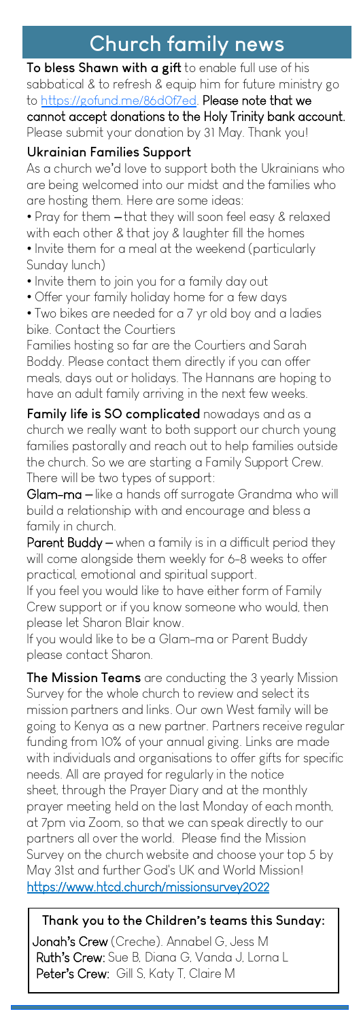# **Church family news**

**To bless Shawn with a gift** to enable full use of his sabbatical & to refresh & equip him for future ministry go to [https://gofund.me/86d0f7ed.](https://gofund.me/86d0f7ed) Please note that we cannot accept donations to the Holy Trinity bank account. Please submit your donation by 31 May. Thank you!

#### **Ukrainian Families Support**

As a church we'd love to support both the Ukrainians who are being welcomed into our midst and the families who are hosting them. Here are some ideas:

• Pray for them – that they will soon feel easy & relaxed with each other & that joy & laughter fill the homes • Invite them for a meal at the weekend (particularly

Sunday lunch)

• Invite them to join you for a family day out

• Offer your family holiday home for a few days

• Two bikes are needed for a 7 yr old boy and a ladies bike. Contact the Courtiers

Families hosting so far are the Courtiers and Sarah Boddy. Please contact them directly if you can offer meals, days out or holidays. The Hannans are hoping to have an adult family arriving in the next few weeks.

**Family life is SO complicated** nowadays and as a church we really want to both support our church young families pastorally and reach out to help families outside the church. So we are starting a Family Support Crew. There will be two types of support:

Glam-ma – like a hands off surrogate Grandma who will build a relationship with and encourage and bless a family in church.

Parent Buddy – when a family is in a difficult period they will come alongside them weekly for 6-8 weeks to offer practical, emotional and spiritual support.

If you feel you would like to have either form of Family Crew support or if you know someone who would, then please let Sharon Blair know.

If you would like to be a Glam-ma or Parent Buddy please contact Sharon.

**The Mission Teams** are conducting the 3 yearly Mission Survey for the whole church to review and select its mission partners and links. Our own West family will be going to Kenya as a new partner. Partners receive regular funding from 10% of your annual giving. Links are made with individuals and organisations to offer gifts for specific needs. All are prayed for regularly in the notice sheet, through the Prayer Diary and at the monthly prayer meeting held on the last Monday of each month, at 7pm via Zoom, so that we can speak directly to our partners all over the world. Please find the Mission Survey on the church website and choose your top 5 by May 31st and further God's UK and World Mission! https://www.htcd.church/missionsurvey2022

**Thank you to the Children**'**s teams this Sunday:**  Jonah**'**s Crew (Creche). Annabel G, Jess M Ruth**'**s Crew: Sue B, Diana G, Vanda J, Lorna L Peter**'**s Crew: Gill S, Katy T, Claire M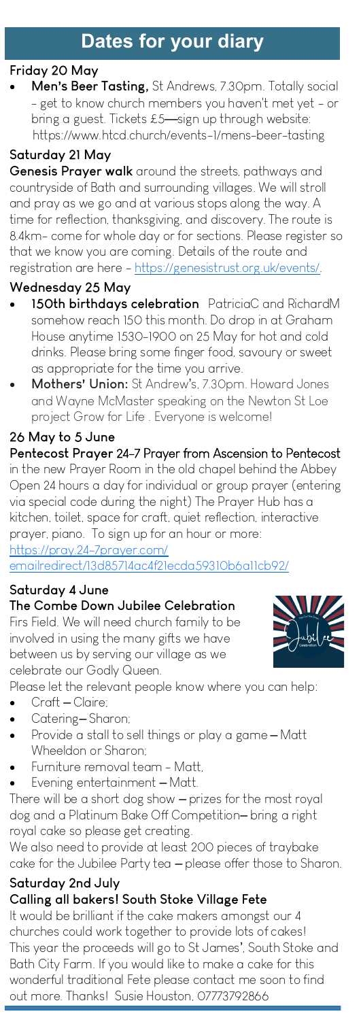## **Dates for your diary**

## **Friday 20 May**

• **Men**'**s Beer Tasting,** St Andrews, 7.30pm. Totally social - get to know church members you haven't met yet - or bring a guest. Tickets  $£5$ —sign up through website: https://www.htcd.church/events-1/mens-beer-tasting

### **Saturday 21 May**

**Genesis Prayer walk** around the streets, pathways and countryside of Bath and surrounding villages. We will stroll and pray as we go and at various stops along the way. A time for reflection, thanksgiving, and discovery. The route is 8.4km- come for whole day or for sections. Please register so that we know you are coming. Details of the route and registration are here - [https://genesistrust.org.uk/events/.](https://genesistrust.org.uk/events/)

## **Wednesday 25 May**

- **150th birthdays celebration** PatriciaC and RichardM somehow reach 150 this month. Do drop in at Graham House anytime 1530-1900 on 25 May for hot and cold drinks. Please bring some finger food, savoury or sweet as appropriate for the time you arrive.
- **Mothers**' **Union:** St Andrew's, 7.30pm. Howard Jones and Wayne McMaster speaking on the Newton St Loe project Grow for Life . Everyone is welcome!

## **26 May to 5 June**

**Pentecost Prayer** 24-7 Prayer from Ascension to Pentecost in the new Prayer Room in the old chapel behind the Abbey Open 24 hours a day for individual or group prayer (entering via special code during the night) The Prayer Hub has a kitchen, toilet, space for craft, quiet reflection, interactive prayer, piano. To sign up for an hour or more: [https://pray.24-7prayer.com/](https://nam12.safelinks.protection.outlook.com/?url=https%3A%2F%2Fpray.24-7prayer.com%2Femailredirect%2F13d85714ac4f21ecda59310b6a11cb92%2F&data=05%7C01%7C%7C5f33e3567cf04b2d002508da247190ed%7C84df9e7fe9f640afb435aaaaaaaaaaaa%7C1%7C0%7C637862367424043416%7CUn)

[emailredirect/13d85714ac4f21ecda59310b6a11cb92/](https://nam12.safelinks.protection.outlook.com/?url=https%3A%2F%2Fpray.24-7prayer.com%2Femailredirect%2F13d85714ac4f21ecda59310b6a11cb92%2F&data=05%7C01%7C%7C5f33e3567cf04b2d002508da247190ed%7C84df9e7fe9f640afb435aaaaaaaaaaaa%7C1%7C0%7C637862367424043416%7CUn)

#### **Saturday 4 June The Combe Down Jubilee Celebration**

Firs Field. We will need church family to be involved in using the many gifts we have between us by serving our village as we celebrate our Godly Queen.

Please let the relevant people know where you can help:

- Craft Claire:
- Catering-Sharon;
- Provide a stall to sell things or play a game Matt Wheeldon or Sharon;
- Furniture removal team Matt,
- Evening entertainment Matt.

There will be a short dog show – prizes for the most royal dog and a Platinum Bake Off Competition– bring a right royal cake so please get creating.

We also need to provide at least 200 pieces of traybake cake for the Jubilee Party tea – please offer those to Sharon.

#### **Saturday 2nd July Calling all bakers! South Stoke Village Fete**

It would be brilliant if the cake makers amongst our 4 churches could work together to provide lots of cakes! This year the proceeds will go to St James', South Stoke and Bath City Farm. If you would like to make a cake for this wonderful traditional Fete please contact me soon to find out more. Thanks! Susie Houston, 07773792866